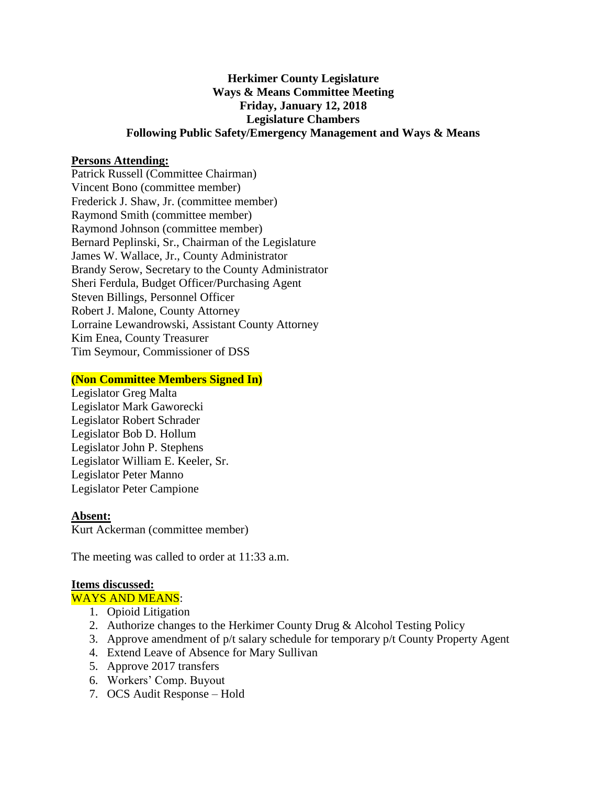# **Herkimer County Legislature Ways & Means Committee Meeting Friday, January 12, 2018 Legislature Chambers Following Public Safety/Emergency Management and Ways & Means**

### **Persons Attending:**

Patrick Russell (Committee Chairman) Vincent Bono (committee member) Frederick J. Shaw, Jr. (committee member) Raymond Smith (committee member) Raymond Johnson (committee member) Bernard Peplinski, Sr., Chairman of the Legislature James W. Wallace, Jr., County Administrator Brandy Serow, Secretary to the County Administrator Sheri Ferdula, Budget Officer/Purchasing Agent Steven Billings, Personnel Officer Robert J. Malone, County Attorney Lorraine Lewandrowski, Assistant County Attorney Kim Enea, County Treasurer Tim Seymour, Commissioner of DSS

### **(Non Committee Members Signed In)**

Legislator Greg Malta Legislator Mark Gaworecki Legislator Robert Schrader Legislator Bob D. Hollum Legislator John P. Stephens Legislator William E. Keeler, Sr. Legislator Peter Manno Legislator Peter Campione

### **Absent:**

Kurt Ackerman (committee member)

The meeting was called to order at 11:33 a.m.

### **Items discussed:**

#### WAYS AND MEANS:

- 1. Opioid Litigation
- 2. Authorize changes to the Herkimer County Drug  $&$  Alcohol Testing Policy
- 3. Approve amendment of p/t salary schedule for temporary p/t County Property Agent
- 4. Extend Leave of Absence for Mary Sullivan
- 5. Approve 2017 transfers
- 6. Workers' Comp. Buyout
- 7. OCS Audit Response Hold